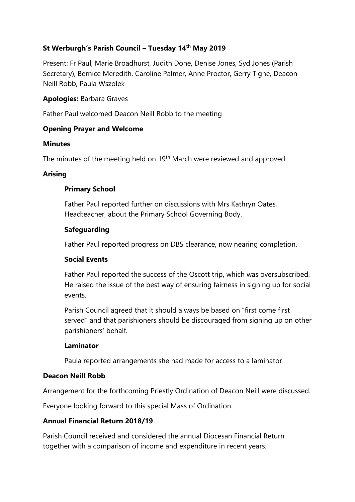# **St Werburgh's Parish Council – Tuesday 14 th May 2019**

Present: Fr Paul, Marie Broadhurst, Judith Done, Denise Jones, Syd Jones (Parish Secretary), Bernice Meredith, Caroline Palmer, Anne Proctor, Gerry Tighe, Deacon Neill Robb, Paula Wszolek

### **Apologies:** Barbara Graves

Father Paul welcomed Deacon Neill Robb to the meeting

### **Opening Prayer and Welcome**

### **Minutes**

The minutes of the meeting held on 19<sup>th</sup> March were reviewed and approved.

### **Arising**

### **Primary School**

Father Paul reported further on discussions with Mrs Kathryn Oates, Headteacher, about the Primary School Governing Body.

### **Safeguarding**

Father Paul reported progress on DBS clearance, now nearing completion.

### **Social Events**

Father Paul reported the success of the Oscott trip, which was oversubscribed. He raised the issue of the best way of ensuring fairness in signing up for social events.

Parish Council agreed that it should always be based on "first come first served" and that parishioners should be discouraged from signing up on other parishioners' behalf.

### **Laminator**

Paula reported arrangements she had made for access to a laminator

## **Deacon Neill Robb**

Arrangement for the forthcoming Priestly Ordination of Deacon Neill were discussed.

Everyone looking forward to this special Mass of Ordination.

## **Annual Financial Return 2018/19**

Parish Council received and considered the annual Diocesan Financial Return together with a comparison of income and expenditure in recent years.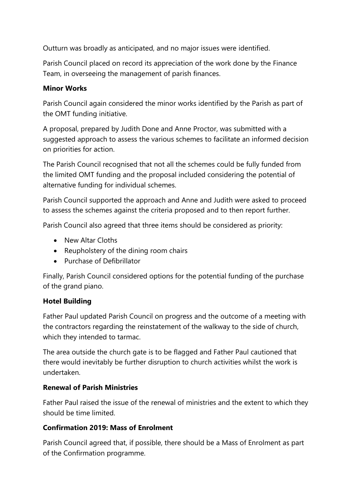Outturn was broadly as anticipated, and no major issues were identified.

Parish Council placed on record its appreciation of the work done by the Finance Team, in overseeing the management of parish finances.

# **Minor Works**

Parish Council again considered the minor works identified by the Parish as part of the OMT funding initiative.

A proposal, prepared by Judith Done and Anne Proctor, was submitted with a suggested approach to assess the various schemes to facilitate an informed decision on priorities for action.

The Parish Council recognised that not all the schemes could be fully funded from the limited OMT funding and the proposal included considering the potential of alternative funding for individual schemes.

Parish Council supported the approach and Anne and Judith were asked to proceed to assess the schemes against the criteria proposed and to then report further.

Parish Council also agreed that three items should be considered as priority:

- New Altar Cloths
- Reupholstery of the dining room chairs
- Purchase of Defibrillator

Finally, Parish Council considered options for the potential funding of the purchase of the grand piano.

## **Hotel Building**

Father Paul updated Parish Council on progress and the outcome of a meeting with the contractors regarding the reinstatement of the walkway to the side of church, which they intended to tarmac.

The area outside the church gate is to be flagged and Father Paul cautioned that there would inevitably be further disruption to church activities whilst the work is undertaken.

# **Renewal of Parish Ministries**

Father Paul raised the issue of the renewal of ministries and the extent to which they should be time limited.

# **Confirmation 2019: Mass of Enrolment**

Parish Council agreed that, if possible, there should be a Mass of Enrolment as part of the Confirmation programme.